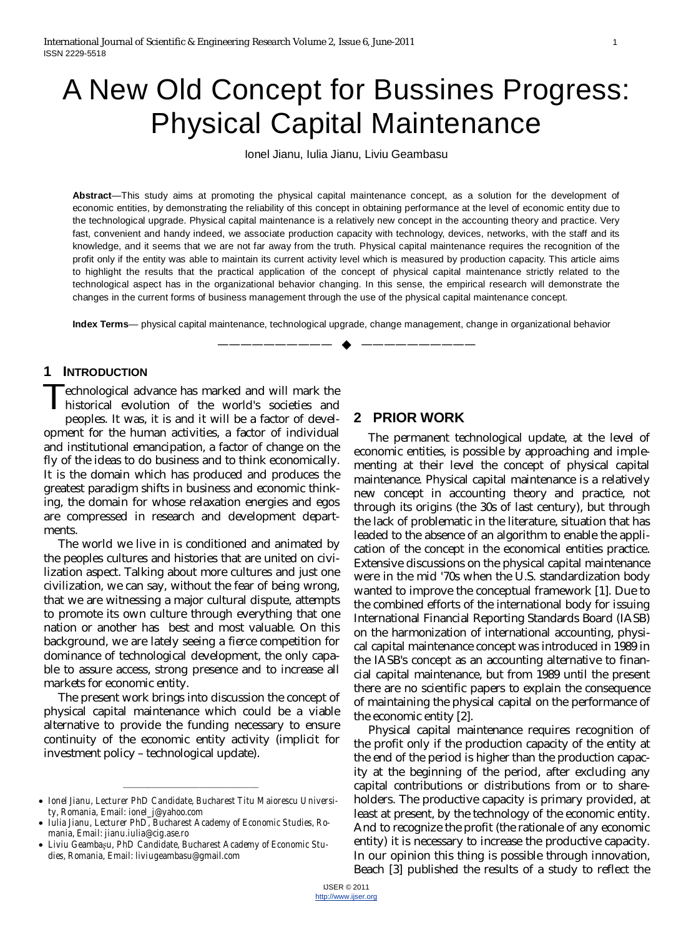# A New Old Concept for Bussines Progress: Physical Capital Maintenance

Ionel Jianu, Iulia Jianu, Liviu Geambasu

**Abstract**—This study aims at promoting the physical capital maintenance concept, as a solution for the development of economic entities, by demonstrating the reliability of this concept in obtaining performance at the level of economic entity due to the technological upgrade. Physical capital maintenance is a relatively new concept in the accounting theory and practice. Very fast, convenient and handy indeed, we associate production capacity with technology, devices, networks, with the staff and its knowledge, and it seems that we are not far away from the truth. Physical capital maintenance requires the recognition of the profit only if the entity was able to maintain its current activity level which is measured by production capacity. This article aims to highlight the results that the practical application of the concept of physical capital maintenance strictly related to the technological aspect has in the organizational behavior changing. In this sense, the empirical research will demonstrate the changes in the current forms of business management through the use of the physical capital maintenance concept.

**Index Terms**— physical capital maintenance, technological upgrade, change management, change in organizational behavior

—————————— ——————————

#### **1 INTRODUCTION**

echnological advance has marked and will mark the historical evolution of the world's societies and peoples. It was, it is and it will be a factor of development for the human activities, a factor of individual and institutional emancipation, a factor of change on the fly of the ideas to do business and to think economically. It is the domain which has produced and produces the greatest paradigm shifts in business and economic thinking, the domain for whose relaxation energies and egos are compressed in research and development departments. T

The world we live in is conditioned and animated by the peoples cultures and histories that are united on civilization aspect. Talking about more cultures and just one civilization, we can say, without the fear of being wrong, that we are witnessing a major cultural dispute, attempts to promote its own culture through everything that one nation or another has best and most valuable. On this background, we are lately seeing a fierce competition for dominance of technological development, the only capable to assure access, strong presence and to increase all markets for economic entity.

The present work brings into discussion the concept of physical capital maintenance which could be a viable alternative to provide the funding necessary to ensure continuity of the economic entity activity (implicit for investment policy – technological update).

# **2 PRIOR WORK**

The permanent technological update, at the level of economic entities, is possible by approaching and implementing at their level the concept of physical capital maintenance. Physical capital maintenance is a relatively new concept in accounting theory and practice, not through its origins (the 30s of last century), but through the lack of problematic in the literature, situation that has leaded to the absence of an algorithm to enable the application of the concept in the economical entities practice. Extensive discussions on the physical capital maintenance were in the mid '70s when the U.S. standardization body wanted to improve the conceptual framework [1]. Due to the combined efforts of the international body for issuing International Financial Reporting Standards Board (IASB) on the harmonization of international accounting, physical capital maintenance concept was introduced in 1989 in the IASB's concept as an accounting alternative to financial capital maintenance, but from 1989 until the present there are no scientific papers to explain the consequence of maintaining the physical capital on the performance of the economic entity [2].

Physical capital maintenance requires recognition of the profit only if the production capacity of the entity at the end of the period is higher than the production capacity at the beginning of the period, after excluding any capital contributions or distributions from or to shareholders. The productive capacity is primary provided, at least at present, by the technology of the economic entity. And to recognize the profit (the rationale of any economic entity) it is necessary to increase the productive capacity. In our opinion this thing is possible through innovation, Beach [3] published the results of a study to reflect the

<sup>———————————————</sup> x *Ionel Jianu, Lecturer PhD Candidate, Bucharest Titu Maiorescu University, Romania, Email: [ionel\\_j@yahoo.com](mailto:ionel_j@yahoo.com)*

<sup>•</sup> Iulia Jianu, Lecturer PhD, Bucharest Academy of Economic Studies, Ro*mania, Email: [jianu.iulia@cig.ase.ro](mailto:jianu.iulia@cig.ase.ro)*

x *Liviu Geambaüu, PhD Candidate, Bucharest Academy of Economic Studies, Romania, Email: [liviugeambasu@gmail.com](mailto:liviugeambasu@gmail.com)*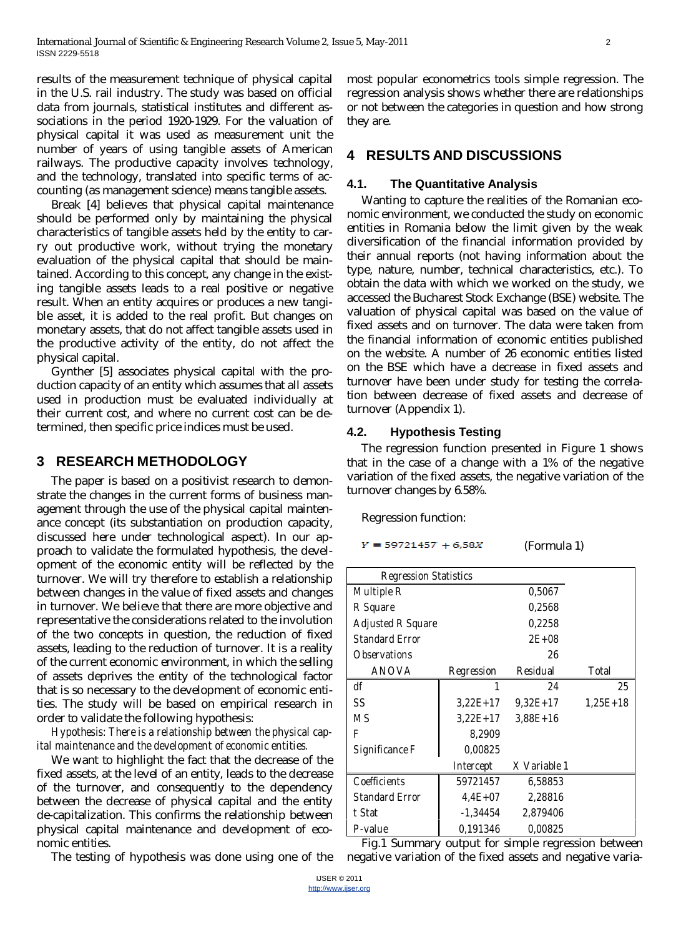results of the measurement technique of physical capital in the U.S. rail industry. The study was based on official data from journals, statistical institutes and different associations in the period 1920-1929. For the valuation of physical capital it was used as measurement unit the number of years of using tangible assets of American railways. The productive capacity involves technology, and the technology, translated into specific terms of accounting (as management science) means tangible assets.

Break [4] believes that physical capital maintenance should be performed only by maintaining the physical characteristics of tangible assets held by the entity to carry out productive work, without trying the monetary evaluation of the physical capital that should be maintained. According to this concept, any change in the existing tangible assets leads to a real positive or negative result. When an entity acquires or produces a new tangible asset, it is added to the real profit. But changes on monetary assets, that do not affect tangible assets used in the productive activity of the entity, do not affect the physical capital.

Gynther [5] associates physical capital with the production capacity of an entity which assumes that all assets used in production must be evaluated individually at their current cost, and where no current cost can be determined, then specific price indices must be used.

# **3 RESEARCH METHODOLOGY**

The paper is based on a positivist research to demonstrate the changes in the current forms of business management through the use of the physical capital maintenance concept (its substantiation on production capacity, discussed here under technological aspect). In our approach to validate the formulated hypothesis, the development of the economic entity will be reflected by the turnover. We will try therefore to establish a relationship between changes in the value of fixed assets and changes in turnover. We believe that there are more objective and representative the considerations related to the involution of the two concepts in question, the reduction of fixed assets, leading to the reduction of turnover. It is a reality of the current economic environment, in which the selling of assets deprives the entity of the technological factor that is so necessary to the development of economic entities. The study will be based on empirical research in order to validate the following hypothesis:

*Hypothesis: There is a relationship between the physical capital maintenance and the development of economic entities.*

We want to highlight the fact that the decrease of the fixed assets, at the level of an entity, leads to the decrease of the turnover, and consequently to the dependency between the decrease of physical capital and the entity de-capitalization. This confirms the relationship between physical capital maintenance and development of economic entities.

The testing of hypothesis was done using one of the

most popular econometrics tools simple regression. The regression analysis shows whether there are relationships or not between the categories in question and how strong they are.

# **4 RESULTS AND DISCUSSIONS**

### **4.1. The Quantitative Analysis**

Wanting to capture the realities of the Romanian economic environment, we conducted the study on economic entities in Romania below the limit given by the weak diversification of the financial information provided by their annual reports (not having information about the type, nature, number, technical characteristics, etc.). To obtain the data with which we worked on the study, we accessed the Bucharest Stock Exchange (BSE) website. The valuation of physical capital was based on the value of fixed assets and on turnover. The data were taken from the financial information of economic entities published on the website. A number of 26 economic entities listed on the BSE which have a decrease in fixed assets and turnover have been under study for testing the correlation between decrease of fixed assets and decrease of turnover (Appendix 1).

# **4.2. Hypothesis Testing**

The regression function presented in Figure 1 shows that in the case of a change with a 1% of the negative variation of the fixed assets, the negative variation of the turnover changes by 6.58%.

Regression function:

 $Y = 59721457 + 6,58X$ 

(Formula 1)

| <b>Regression Statistics</b> |             |              |            |  |  |  |  |
|------------------------------|-------------|--------------|------------|--|--|--|--|
| Multiple R                   |             | 0,5067       |            |  |  |  |  |
| R Square                     |             | 0,2568       |            |  |  |  |  |
| <b>Adjusted R Square</b>     | 0,2258      |              |            |  |  |  |  |
| Standard Frror               | $2F + 08$   |              |            |  |  |  |  |
| Observations                 | 26          |              |            |  |  |  |  |
| ANOVA                        | Regression  | Residual     | Total      |  |  |  |  |
| df                           | 1           | 24           | 25         |  |  |  |  |
| SS                           | $3.22E+17$  | $9.32E+17$   | $1,25E+18$ |  |  |  |  |
| M.S                          | $3.22E+17$  | $3,88E+16$   |            |  |  |  |  |
| F                            | 8,2909      |              |            |  |  |  |  |
| Significance F               | 0,00825     |              |            |  |  |  |  |
|                              | Intercept   | X Variable 1 |            |  |  |  |  |
| Coefficients                 | 59721457    | 6,58853      |            |  |  |  |  |
| <b>Standard Error</b>        | $4.4E + 07$ | 2,28816      |            |  |  |  |  |
| t Stat                       | -1,34454    | 2,879406     |            |  |  |  |  |
| P-value                      | 0,191346    | 0,00825      |            |  |  |  |  |

Fig.1 Summary output for simple regression between negative variation of the fixed assets and negative varia-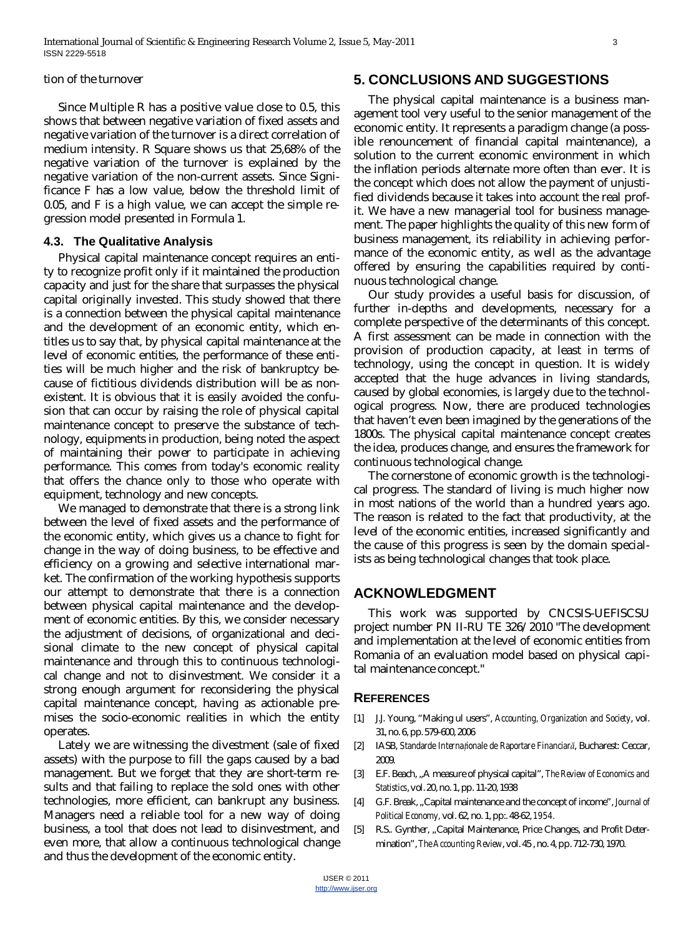#### tion of the turnover

Since Multiple R has a positive value close to 0.5, this shows that between negative variation of fixed assets and negative variation of the turnover is a direct correlation of medium intensity. R Square shows us that 25,68% of the negative variation of the turnover is explained by the negative variation of the non-current assets. Since Significance F has a low value, below the threshold limit of 0.05, and F is a high value, we can accept the simple regression model presented in Formula 1.

#### **4.3. The Qualitative Analysis**

Physical capital maintenance concept requires an entity to recognize profit only if it maintained the production capacity and just for the share that surpasses the physical capital originally invested. This study showed that there is a connection between the physical capital maintenance and the development of an economic entity, which entitles us to say that, by physical capital maintenance at the level of economic entities, the performance of these entities will be much higher and the risk of bankruptcy because of fictitious dividends distribution will be as nonexistent. It is obvious that it is easily avoided the confusion that can occur by raising the role of physical capital maintenance concept to preserve the substance of technology, equipments in production, being noted the aspect of maintaining their power to participate in achieving performance. This comes from today's economic reality that offers the chance only to those who operate with equipment, technology and new concepts.

We managed to demonstrate that there is a strong link between the level of fixed assets and the performance of the economic entity, which gives us a chance to fight for change in the way of doing business, to be effective and efficiency on a growing and selective international market. The confirmation of the working hypothesis supports our attempt to demonstrate that there is a connection between physical capital maintenance and the development of economic entities. By this, we consider necessary the adjustment of decisions, of organizational and decisional climate to the new concept of physical capital maintenance and through this to continuous technological change and not to disinvestment. We consider it a strong enough argument for reconsidering the physical capital maintenance concept, having as actionable premises the socio-economic realities in which the entity operates.

Lately we are witnessing the divestment (sale of fixed assets) with the purpose to fill the gaps caused by a bad management. But we forget that they are short-term results and that failing to replace the sold ones with other technologies, more efficient, can bankrupt any business. Managers need a reliable tool for a new way of doing business, a tool that does not lead to disinvestment, and even more, that allow a continuous technological change and thus the development of the economic entity.

# **5. CONCLUSIONS AND SUGGESTIONS**

The physical capital maintenance is a business management tool very useful to the senior management of the economic entity. It represents a paradigm change (a possible renouncement of financial capital maintenance), a solution to the current economic environment in which the inflation periods alternate more often than ever. It is the concept which does not allow the payment of unjustified dividends because it takes into account the real profit. We have a new managerial tool for business management. The paper highlights the quality of this new form of business management, its reliability in achieving performance of the economic entity, as well as the advantage offered by ensuring the capabilities required by continuous technological change.

Our study provides a useful basis for discussion, of further in-depths and developments, necessary for a complete perspective of the determinants of this concept. A first assessment can be made in connection with the provision of production capacity, at least in terms of technology, using the concept in question. It is widely accepted that the huge advances in living standards, caused by global economies, is largely due to the technological progress. Now, there are produced technologies that haven't even been imagined by the generations of the 1800s. The physical capital maintenance concept creates the idea, produces change, and ensures the framework for continuous technological change.

The cornerstone of economic growth is the technological progress. The standard of living is much higher now in most nations of the world than a hundred years ago. The reason is related to the fact that productivity, at the level of the economic entities, increased significantly and the cause of this progress is seen by the domain specialists as being technological changes that took place.

#### **ACKNOWLEDGMENT**

This work was supported by CNCSIS-UEFISCSU project number PN II-RU TE 326/2010 "The development and implementation at the level of economic entities from Romania of an evaluation model based on physical capital maintenance concept."

#### **REFERENCES**

- [1] J.J. Young, "Making ul users", *Accounting, Organization and Society*, vol. 31, no. 6, pp. 579-600, 2006
- [2] IASB, Standarde Internaționale de Raportare Financiară, Bucharest: Ceccar, 2009.
- [3] E.F. Beach, "A measure of physical capital", *The Review of Economics and Statistics*, vol. 20, no. 1, pp. 11-20, 1938
- [4] G.F. Break, "Capital maintenance and the concept of income", *Journal of Political Economy,* vol. 62, no. 1, pp:. 48-62,*1954.*
- [5] R.S.. Gynther, "Capital Maintenance, Price Changes, and Profit Determination",*The Accounting Review*, vol. 45 , no. 4, pp. 712-730, 1970.